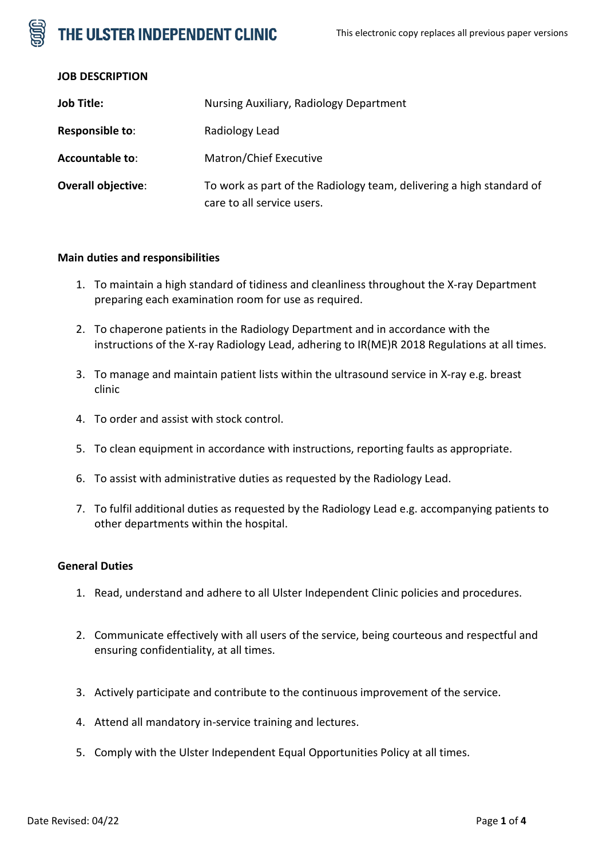# THE ULSTER INDEPENDENT CLINIC

## **JOB DESCRIPTION**

| <b>Job Title:</b>         | Nursing Auxiliary, Radiology Department                                                            |
|---------------------------|----------------------------------------------------------------------------------------------------|
| Responsible to:           | Radiology Lead                                                                                     |
| <b>Accountable to:</b>    | Matron/Chief Executive                                                                             |
| <b>Overall objective:</b> | To work as part of the Radiology team, delivering a high standard of<br>care to all service users. |

## **Main duties and responsibilities**

- 1. To maintain a high standard of tidiness and cleanliness throughout the X-ray Department preparing each examination room for use as required.
- 2. To chaperone patients in the Radiology Department and in accordance with the instructions of the X-ray Radiology Lead, adhering to IR(ME)R 2018 Regulations at all times.
- 3. To manage and maintain patient lists within the ultrasound service in X-ray e.g. breast clinic
- 4. To order and assist with stock control.
- 5. To clean equipment in accordance with instructions, reporting faults as appropriate.
- 6. To assist with administrative duties as requested by the Radiology Lead.
- 7. To fulfil additional duties as requested by the Radiology Lead e.g. accompanying patients to other departments within the hospital.

### **General Duties**

- 1. Read, understand and adhere to all Ulster Independent Clinic policies and procedures.
- 2. Communicate effectively with all users of the service, being courteous and respectful and ensuring confidentiality, at all times.
- 3. Actively participate and contribute to the continuous improvement of the service.
- 4. Attend all mandatory in-service training and lectures.
- 5. Comply with the Ulster Independent Equal Opportunities Policy at all times.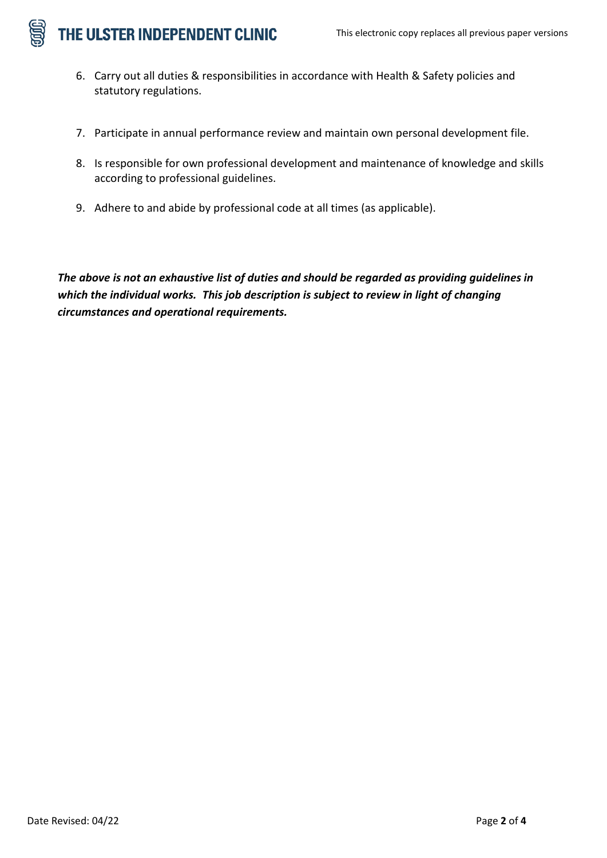

- 6. Carry out all duties & responsibilities in accordance with Health & Safety policies and statutory regulations.
- 7. Participate in annual performance review and maintain own personal development file.
- 8. Is responsible for own professional development and maintenance of knowledge and skills according to professional guidelines.
- 9. Adhere to and abide by professional code at all times (as applicable).

*The above is not an exhaustive list of duties and should be regarded as providing guidelines in which the individual works. This job description is subject to review in light of changing circumstances and operational requirements.*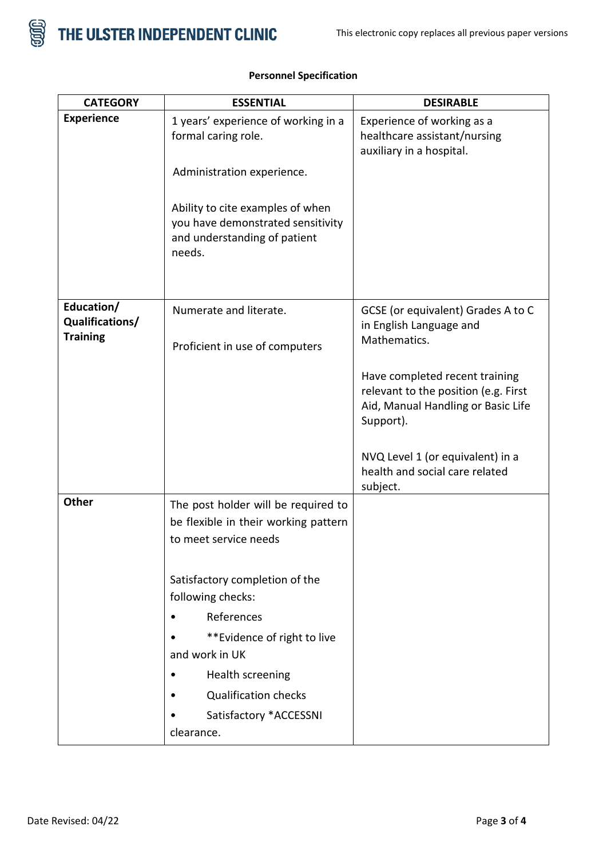

| <b>CATEGORY</b>                                  | <b>ESSENTIAL</b>                                                                                                | <b>DESIRABLE</b>                                                                                                          |
|--------------------------------------------------|-----------------------------------------------------------------------------------------------------------------|---------------------------------------------------------------------------------------------------------------------------|
| <b>Experience</b>                                | 1 years' experience of working in a<br>formal caring role.                                                      | Experience of working as a<br>healthcare assistant/nursing<br>auxiliary in a hospital.                                    |
|                                                  | Administration experience.                                                                                      |                                                                                                                           |
|                                                  | Ability to cite examples of when<br>you have demonstrated sensitivity<br>and understanding of patient<br>needs. |                                                                                                                           |
| Education/<br>Qualifications/<br><b>Training</b> | Numerate and literate.<br>Proficient in use of computers                                                        | GCSE (or equivalent) Grades A to C<br>in English Language and<br>Mathematics.                                             |
|                                                  |                                                                                                                 | Have completed recent training<br>relevant to the position (e.g. First<br>Aid, Manual Handling or Basic Life<br>Support). |
|                                                  |                                                                                                                 | NVQ Level 1 (or equivalent) in a<br>health and social care related<br>subject.                                            |
| <b>Other</b>                                     | The post holder will be required to<br>be flexible in their working pattern<br>to meet service needs            |                                                                                                                           |
|                                                  | Satisfactory completion of the<br>following checks:                                                             |                                                                                                                           |
|                                                  | References<br>$\bullet$                                                                                         |                                                                                                                           |
|                                                  | ** Evidence of right to live<br>and work in UK                                                                  |                                                                                                                           |
|                                                  | Health screening                                                                                                |                                                                                                                           |
|                                                  | <b>Qualification checks</b>                                                                                     |                                                                                                                           |
|                                                  | Satisfactory *ACCESSNI                                                                                          |                                                                                                                           |
|                                                  | clearance.                                                                                                      |                                                                                                                           |

## **Personnel Specification**